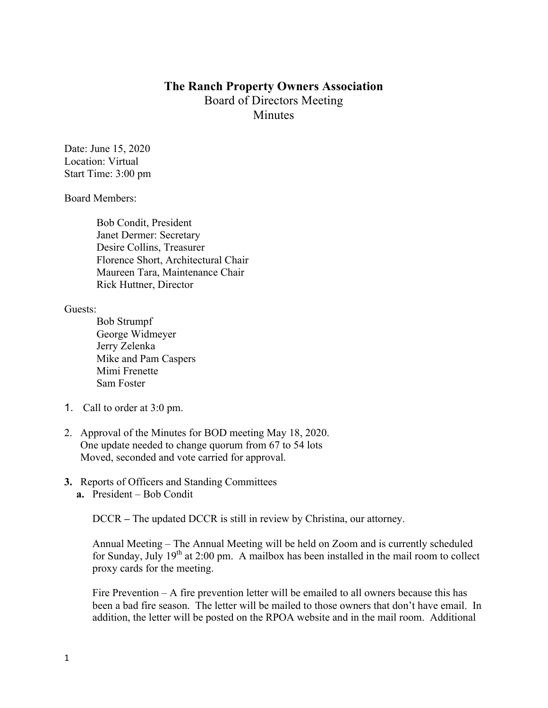## **The Ranch Property Owners Association** Board of Directors Meeting **Minutes**

Date: June 15, 2020 Location: Virtual Start Time: 3:00 pm

Board Members:

Bob Condit, President Janet Dermer: Secretary Desire Collins, Treasurer Florence Short, Architectural Chair Maureen Tara, Maintenance Chair Rick Huttner, Director

Guests:

- Bob Strumpf George Widmeyer Jerry Zelenka Mike and Pam Caspers Mimi Frenette Sam Foster
- 1. Call to order at 3:0 pm.
- 2. Approval of the Minutes for BOD meeting May 18, 2020. One update needed to change quorum from 67 to 54 lots Moved, seconded and vote carried for approval.
- **3.** Reports of Officers and Standing Committees
	- **a.** President Bob Condit

DCCR **–** The updated DCCR is still in review by Christina, our attorney.

Annual Meeting – The Annual Meeting will be held on Zoom and is currently scheduled for Sunday, July  $19<sup>th</sup>$  at 2:00 pm. A mailbox has been installed in the mail room to collect proxy cards for the meeting.

Fire Prevention – A fire prevention letter will be emailed to all owners because this has been a bad fire season. The letter will be mailed to those owners that don't have email. In addition, the letter will be posted on the RPOA website and in the mail room. Additional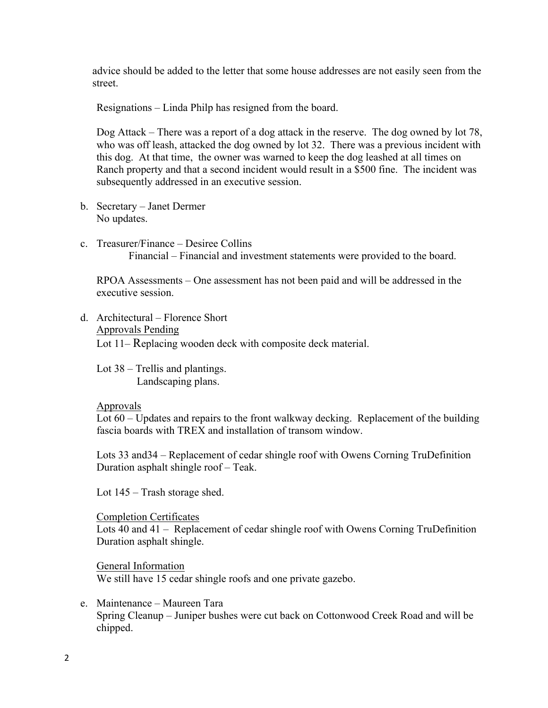advice should be added to the letter that some house addresses are not easily seen from the street.

Resignations – Linda Philp has resigned from the board.

Dog Attack – There was a report of a dog attack in the reserve. The dog owned by lot 78, who was off leash, attacked the dog owned by lot 32. There was a previous incident with this dog. At that time, the owner was warned to keep the dog leashed at all times on Ranch property and that a second incident would result in a \$500 fine. The incident was subsequently addressed in an executive session.

- b. Secretary Janet Dermer No updates.
- c. Treasurer/Finance Desiree Collins Financial – Financial and investment statements were provided to the board.

RPOA Assessments – One assessment has not been paid and will be addressed in the executive session.

d. Architectural – Florence Short Approvals Pending Lot 11– Replacing wooden deck with composite deck material.

Lot 38 – Trellis and plantings. Landscaping plans.

## Approvals

Lot 60 – Updates and repairs to the front walkway decking. Replacement of the building fascia boards with TREX and installation of transom window.

Lots 33 and34 – Replacement of cedar shingle roof with Owens Corning TruDefinition Duration asphalt shingle roof – Teak.

Lot 145 – Trash storage shed.

Completion Certificates

Lots 40 and 41 – Replacement of cedar shingle roof with Owens Corning TruDefinition Duration asphalt shingle.

General Information We still have 15 cedar shingle roofs and one private gazebo.

e. Maintenance – Maureen Tara Spring Cleanup – Juniper bushes were cut back on Cottonwood Creek Road and will be chipped.